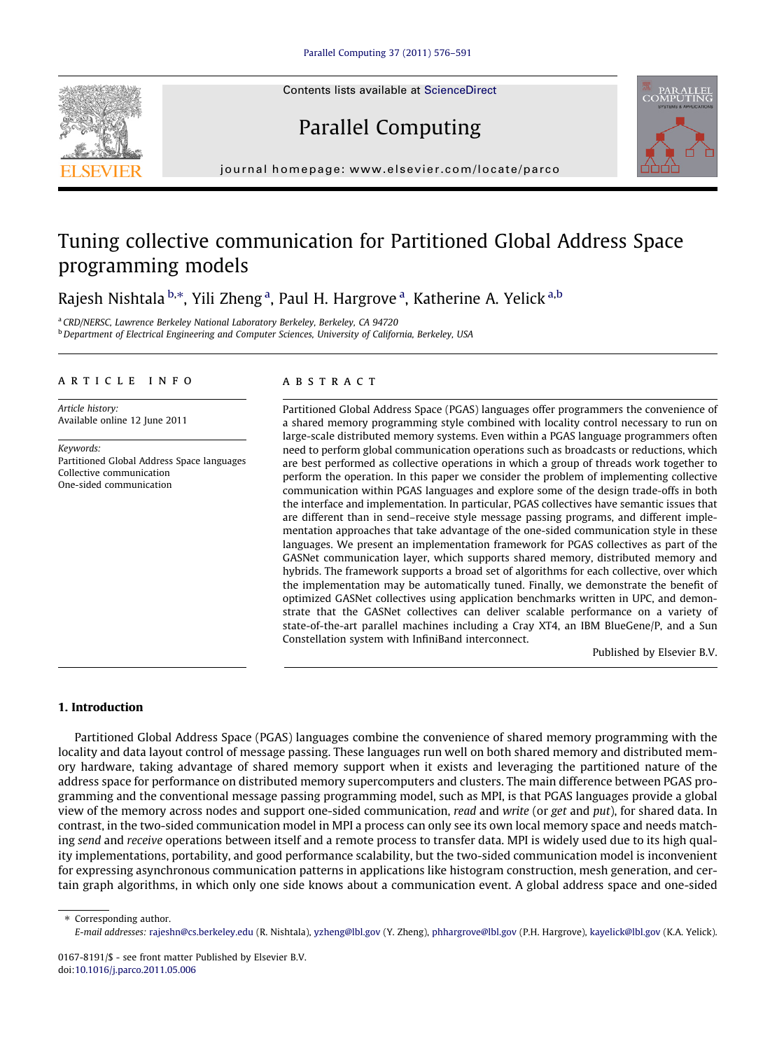Contents lists available at [ScienceDirect](http://www.sciencedirect.com/science/journal/01678191)







journal homepage: [www.elsevier.com/locate/parco](http://www.elsevier.com/locate/parco)

# Tuning collective communication for Partitioned Global Address Space programming models

Rajesh Nishtala <sup>b,</sup>\*, Yili Zheng <sup>a</sup>, Paul H. Hargrove <sup>a</sup>, Katherine A. Yelick <sup>a,b</sup>

<sup>a</sup> CRD/NERSC, Lawrence Berkeley National Laboratory Berkeley, Berkeley, CA 94720

<sup>b</sup> Department of Electrical Engineering and Computer Sciences, University of California, Berkeley, USA

#### article info

Article history: Available online 12 June 2011

Keywords: Partitioned Global Address Space languages Collective communication One-sided communication

## **ABSTRACT**

Partitioned Global Address Space (PGAS) languages offer programmers the convenience of a shared memory programming style combined with locality control necessary to run on large-scale distributed memory systems. Even within a PGAS language programmers often need to perform global communication operations such as broadcasts or reductions, which are best performed as collective operations in which a group of threads work together to perform the operation. In this paper we consider the problem of implementing collective communication within PGAS languages and explore some of the design trade-offs in both the interface and implementation. In particular, PGAS collectives have semantic issues that are different than in send–receive style message passing programs, and different implementation approaches that take advantage of the one-sided communication style in these languages. We present an implementation framework for PGAS collectives as part of the GASNet communication layer, which supports shared memory, distributed memory and hybrids. The framework supports a broad set of algorithms for each collective, over which the implementation may be automatically tuned. Finally, we demonstrate the benefit of optimized GASNet collectives using application benchmarks written in UPC, and demonstrate that the GASNet collectives can deliver scalable performance on a variety of state-of-the-art parallel machines including a Cray XT4, an IBM BlueGene/P, and a Sun Constellation system with InfiniBand interconnect.

Published by Elsevier B.V.

### 1. Introduction

Partitioned Global Address Space (PGAS) languages combine the convenience of shared memory programming with the locality and data layout control of message passing. These languages run well on both shared memory and distributed memory hardware, taking advantage of shared memory support when it exists and leveraging the partitioned nature of the address space for performance on distributed memory supercomputers and clusters. The main difference between PGAS programming and the conventional message passing programming model, such as MPI, is that PGAS languages provide a global view of the memory across nodes and support one-sided communication, read and write (or get and put), for shared data. In contrast, in the two-sided communication model in MPI a process can only see its own local memory space and needs matching send and receive operations between itself and a remote process to transfer data. MPI is widely used due to its high quality implementations, portability, and good performance scalability, but the two-sided communication model is inconvenient for expressing asynchronous communication patterns in applications like histogram construction, mesh generation, and certain graph algorithms, in which only one side knows about a communication event. A global address space and one-sided

⇑ Corresponding author. E-mail addresses: [rajeshn@cs.berkeley.edu](mailto:rajeshn@cs.berkeley.edu) (R. Nishtala), [yzheng@lbl.gov](mailto:yzheng@lbl.gov) (Y. Zheng), [phhargrove@lbl.gov](mailto:phhargrove@lbl.gov) (P.H. Hargrove), [kayelick@lbl.gov](mailto:kayelick@lbl.gov) (K.A. Yelick).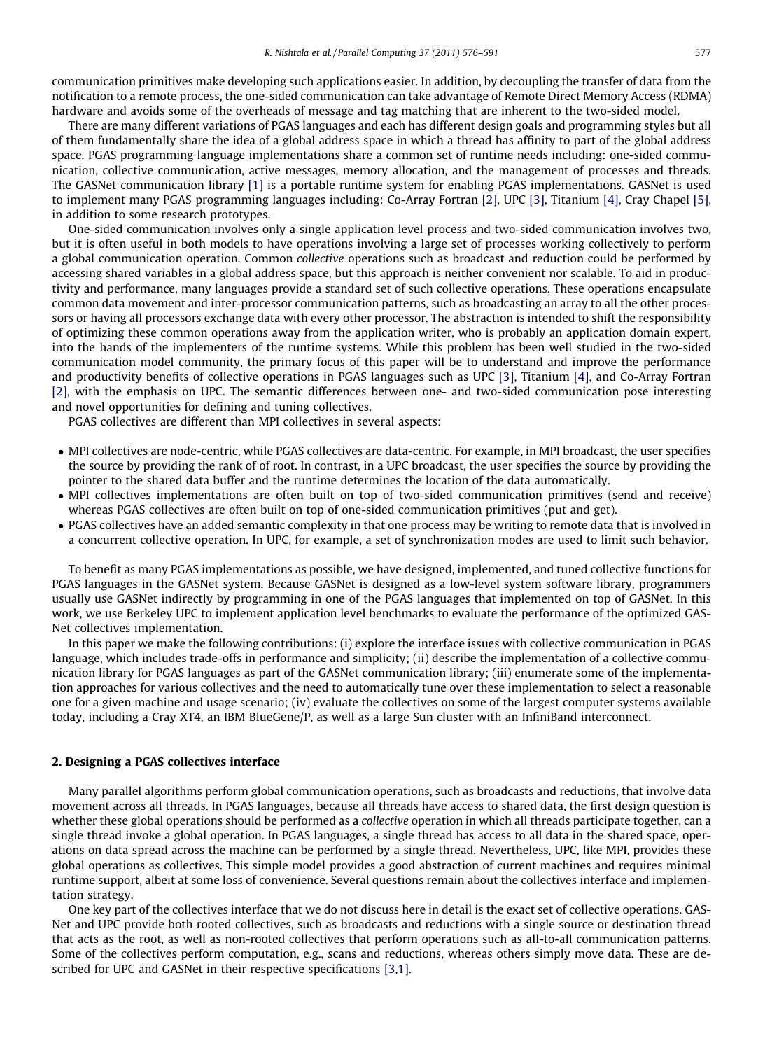communication primitives make developing such applications easier. In addition, by decoupling the transfer of data from the notification to a remote process, the one-sided communication can take advantage of Remote Direct Memory Access (RDMA) hardware and avoids some of the overheads of message and tag matching that are inherent to the two-sided model.

There are many different variations of PGAS languages and each has different design goals and programming styles but all of them fundamentally share the idea of a global address space in which a thread has affinity to part of the global address space. PGAS programming language implementations share a common set of runtime needs including: one-sided communication, collective communication, active messages, memory allocation, and the management of processes and threads. The GASNet communication library [\[1\]](#page--1-0) is a portable runtime system for enabling PGAS implementations. GASNet is used to implement many PGAS programming languages including: Co-Array Fortran [\[2\],](#page--1-0) UPC [\[3\]](#page--1-0), Titanium [\[4\],](#page--1-0) Cray Chapel [\[5\]](#page--1-0), in addition to some research prototypes.

One-sided communication involves only a single application level process and two-sided communication involves two, but it is often useful in both models to have operations involving a large set of processes working collectively to perform a global communication operation. Common collective operations such as broadcast and reduction could be performed by accessing shared variables in a global address space, but this approach is neither convenient nor scalable. To aid in productivity and performance, many languages provide a standard set of such collective operations. These operations encapsulate common data movement and inter-processor communication patterns, such as broadcasting an array to all the other processors or having all processors exchange data with every other processor. The abstraction is intended to shift the responsibility of optimizing these common operations away from the application writer, who is probably an application domain expert, into the hands of the implementers of the runtime systems. While this problem has been well studied in the two-sided communication model community, the primary focus of this paper will be to understand and improve the performance and productivity benefits of collective operations in PGAS languages such as UPC [\[3\],](#page--1-0) Titanium [\[4\],](#page--1-0) and Co-Array Fortran [\[2\],](#page--1-0) with the emphasis on UPC. The semantic differences between one- and two-sided communication pose interesting and novel opportunities for defining and tuning collectives.

PGAS collectives are different than MPI collectives in several aspects:

- MPI collectives are node-centric, while PGAS collectives are data-centric. For example, in MPI broadcast, the user specifies the source by providing the rank of of root. In contrast, in a UPC broadcast, the user specifies the source by providing the pointer to the shared data buffer and the runtime determines the location of the data automatically.
- MPI collectives implementations are often built on top of two-sided communication primitives (send and receive) whereas PGAS collectives are often built on top of one-sided communication primitives (put and get).
- PGAS collectives have an added semantic complexity in that one process may be writing to remote data that is involved in a concurrent collective operation. In UPC, for example, a set of synchronization modes are used to limit such behavior.

To benefit as many PGAS implementations as possible, we have designed, implemented, and tuned collective functions for PGAS languages in the GASNet system. Because GASNet is designed as a low-level system software library, programmers usually use GASNet indirectly by programming in one of the PGAS languages that implemented on top of GASNet. In this work, we use Berkeley UPC to implement application level benchmarks to evaluate the performance of the optimized GAS-Net collectives implementation.

In this paper we make the following contributions: (i) explore the interface issues with collective communication in PGAS language, which includes trade-offs in performance and simplicity; (ii) describe the implementation of a collective communication library for PGAS languages as part of the GASNet communication library; (iii) enumerate some of the implementation approaches for various collectives and the need to automatically tune over these implementation to select a reasonable one for a given machine and usage scenario; (iv) evaluate the collectives on some of the largest computer systems available today, including a Cray XT4, an IBM BlueGene/P, as well as a large Sun cluster with an InfiniBand interconnect.

#### 2. Designing a PGAS collectives interface

Many parallel algorithms perform global communication operations, such as broadcasts and reductions, that involve data movement across all threads. In PGAS languages, because all threads have access to shared data, the first design question is whether these global operations should be performed as a collective operation in which all threads participate together, can a single thread invoke a global operation. In PGAS languages, a single thread has access to all data in the shared space, operations on data spread across the machine can be performed by a single thread. Nevertheless, UPC, like MPI, provides these global operations as collectives. This simple model provides a good abstraction of current machines and requires minimal runtime support, albeit at some loss of convenience. Several questions remain about the collectives interface and implementation strategy.

One key part of the collectives interface that we do not discuss here in detail is the exact set of collective operations. GAS-Net and UPC provide both rooted collectives, such as broadcasts and reductions with a single source or destination thread that acts as the root, as well as non-rooted collectives that perform operations such as all-to-all communication patterns. Some of the collectives perform computation, e.g., scans and reductions, whereas others simply move data. These are described for UPC and GASNet in their respective specifications [\[3,1\]](#page--1-0).